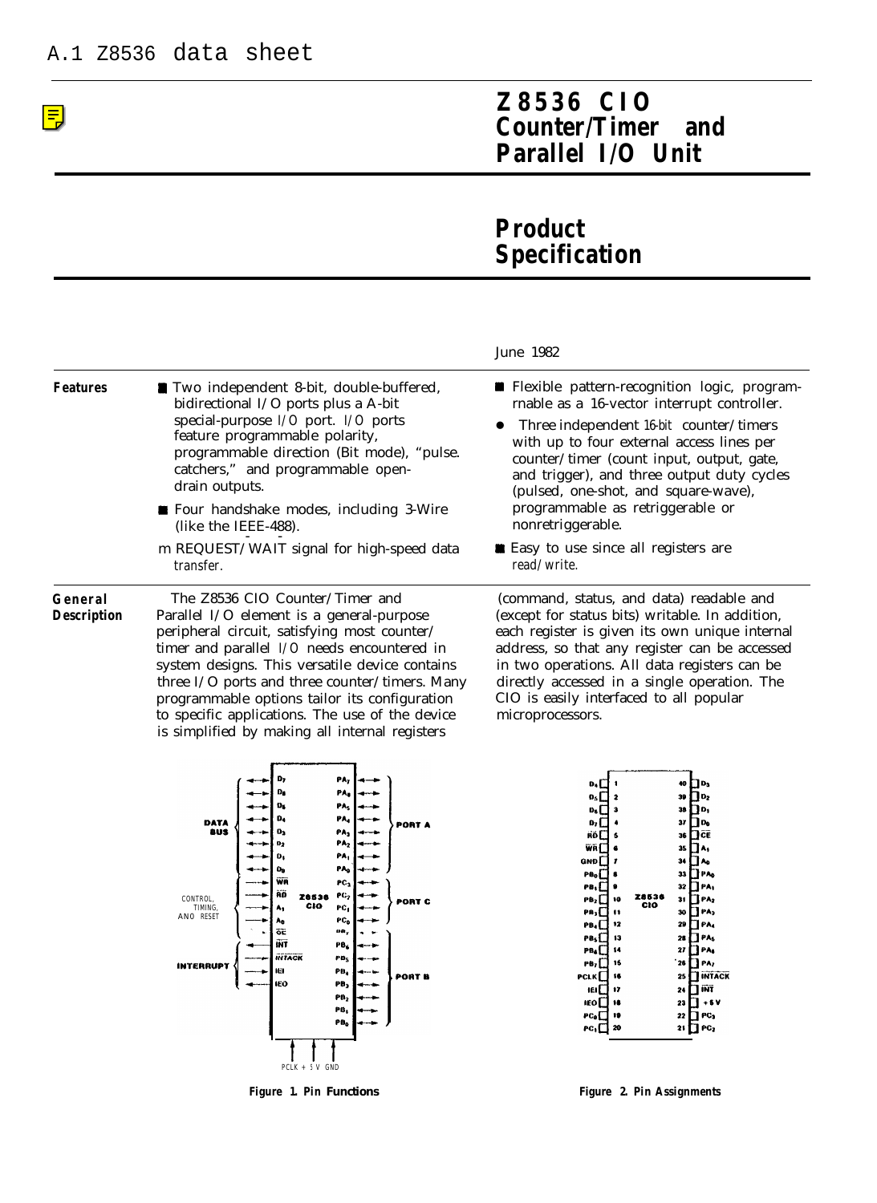冐

## **Z8536 CIO Counter/Timer and Parallel I/O Unit**

## **Product Specification**

|                               |                                                                                                                                                                                                                                                                                                                                                                                                                                                                                                                                               | June 1982                                                                                                                                                                                                                                                                                                                                                                                                                                                                                                                                                                                                                                                                                                               |  |
|-------------------------------|-----------------------------------------------------------------------------------------------------------------------------------------------------------------------------------------------------------------------------------------------------------------------------------------------------------------------------------------------------------------------------------------------------------------------------------------------------------------------------------------------------------------------------------------------|-------------------------------------------------------------------------------------------------------------------------------------------------------------------------------------------------------------------------------------------------------------------------------------------------------------------------------------------------------------------------------------------------------------------------------------------------------------------------------------------------------------------------------------------------------------------------------------------------------------------------------------------------------------------------------------------------------------------------|--|
| <b>Features</b>               | Two independent 8-bit, double-buffered,<br>bidirectional I/O ports plus a A-bit<br>special-purpose I/O port. I/O ports<br>feature programmable polarity,<br>programmable direction (Bit mode), "pulse.<br>catchers," and programmable open-<br>drain outputs.<br><b>E</b> Four handshake modes, including 3-Wire<br>(like the IEEE-488).<br>m REQUEST/WAIT signal for high-speed data<br>transfer.                                                                                                                                            | <b>Example Fiexible pattern-recognition logic, program-</b><br>rnable as a 16-vector interrupt controller.<br>Three independent 16-bit counter/timers<br>with up to four external access lines per<br>counter/timer (count input, output, gate,<br>and trigger), and three output duty cycles<br>(pulsed, one-shot, and square-wave),<br>programmable as retriggerable or<br>nonretriggerable.<br>Easy to use since all registers are<br>read/write.                                                                                                                                                                                                                                                                    |  |
| General<br><b>Description</b> | The Z8536 CIO Counter/Timer and<br>Parallel I/O element is a general-purpose<br>peripheral circuit, satisfying most counter/<br>timer and parallel I/O needs encountered in<br>system designs. This versatile device contains<br>three I/O ports and three counter/timers. Many<br>programmable options tailor its configuration<br>to specific applications. The use of the device<br>is simplified by making all internal registers                                                                                                         | (command, status, and data) readable and<br>(except for status bits) writable. In addition,<br>each register is given its own unique internal<br>address, so that any register can be accessed<br>in two operations. All data registers can be<br>directly accessed in a single operation. The<br>CIO is easily interfaced to all popular<br>microprocessors.                                                                                                                                                                                                                                                                                                                                                           |  |
|                               | D,<br>PA <sub>7</sub><br>Da<br>PA <sub>0</sub><br>D5<br>PA5<br>D.<br>PA <sub>4</sub><br>DATA<br>PORT A<br><b>8US</b><br>D2<br>PA <sub>3</sub><br>PA <sub>2</sub><br>Đ2<br>D,<br>PA,<br>o.<br>P۸,<br>₩ñ<br>PC <sub>1</sub><br>ÃÕ<br>PC <sub>2</sub><br>20536<br>CONTROL<br>PORT C<br><b>CIO</b><br><b>TIMING</b><br>PC,<br>۸,<br>ANO RESET<br>$_{PC_0}$<br>٨e<br>$\mathbf{m}_x$<br>ÖĒ<br><b>INT</b><br>PB <sub>6</sub><br><b>INTACK</b><br>$\mathbf{PB}_5$<br><b>INTERRUPT</b><br>ÆГ<br>PB,<br>PORT B<br>IEO.<br>PD <sub>3</sub><br>PB,<br>PB, | 40 O D3<br>D.I<br>з9 По <sub>2</sub><br>O۰ I<br>38 [ ] D <sub>1</sub><br>Ds I<br>Πο.<br>37<br>D, I<br>36 M CE<br>RÖL<br>I I۸,<br>WAI.<br>35<br>GND [<br>l I Ao<br>34<br>Pa <sub>o</sub><br>i PAo<br>33<br>PB, L<br>$\prod$ PA,<br>32<br>Z8536<br>$P_{B_2}$<br>10<br><b>Пра</b> 2<br>31<br>CIO<br>PB3∐ 11<br>i ipa <sub>3</sub><br>30<br>РВ4∏<br>12<br>29 <b>M</b> PA <sub>4</sub><br>$\prod$ PA <sub>5</sub><br>ras⊡<br>13<br>28<br>$\prod$ PA<br>$\overline{\mathbf{14}}$<br>PB <sub>4</sub> L<br>27<br>$\prod$ PA;<br>$P_{B}$<br>16<br>28<br><b>TINTACK</b><br>PCLK∏<br>16<br>25 <sub>1</sub><br>24 $\prod$ INT<br><b>HEIL</b><br>17<br>∏ +s v<br><b>IEOL</b><br>23<br>$22$ $\Box$ PC <sub>3</sub><br>$P C_0 \Box$ 19 |  |

t<br>PCLK + 5 V GND

**Figure 1. Pin Functions Figure 2. Pin Assignments**

 $\mathbf{F} \mathbf{C}_1 \square$  20

 $21$   $\overline{2}$  PC<sub>2</sub>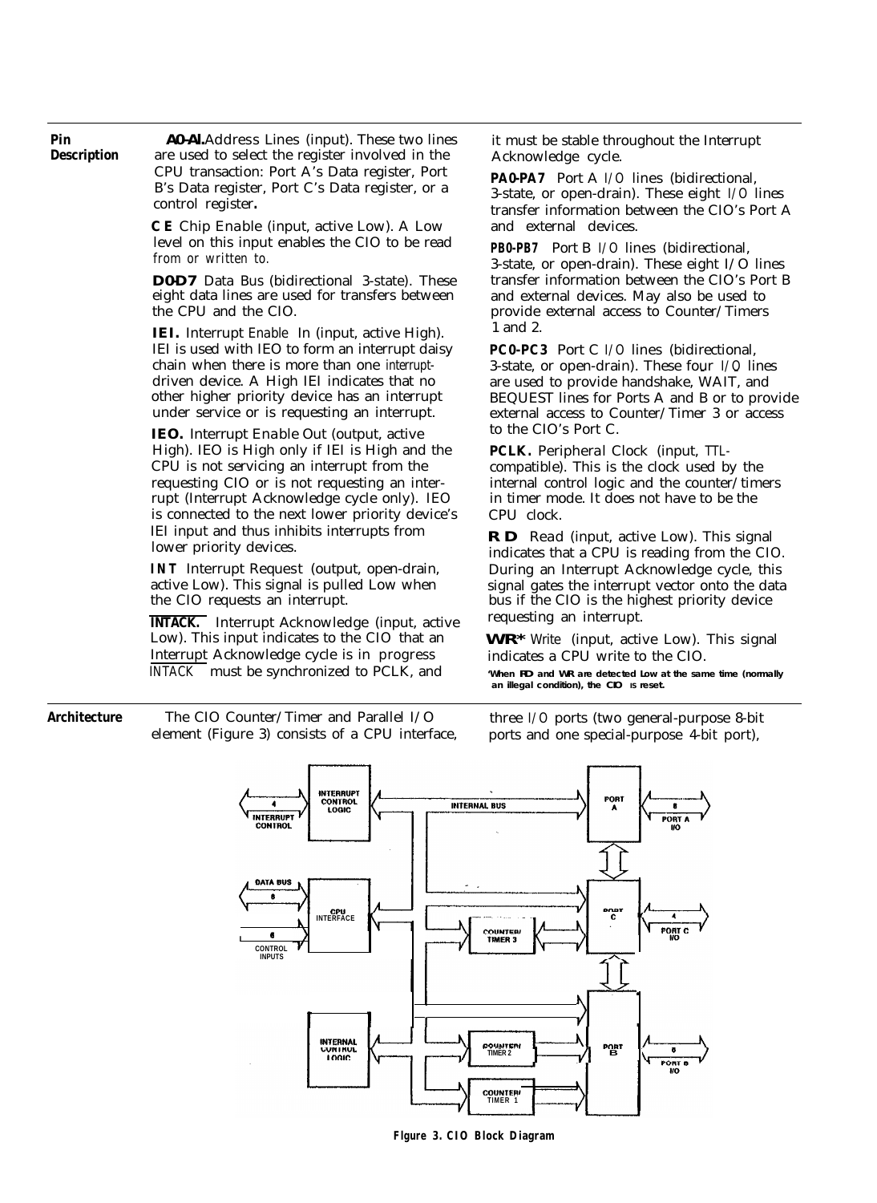| Pin<br><b>Description</b> | <b>AO-AL</b> Address Lines (input). These two lines<br>are used to select the register involved in the                                                                                                                                                                                                   | it must be stable throughout the Interrupt<br>Acknowledge cycle.<br>PA0-PA7 Port A I/O lines (bidirectional,<br>3-state, or open-drain). These eight I/O line<br>transfer information between the CIO's Por                                          |  |
|---------------------------|----------------------------------------------------------------------------------------------------------------------------------------------------------------------------------------------------------------------------------------------------------------------------------------------------------|------------------------------------------------------------------------------------------------------------------------------------------------------------------------------------------------------------------------------------------------------|--|
|                           | CPU transaction: Port A's Data register, Port<br>B's Data register, Port C's Data register, or a<br>control register.                                                                                                                                                                                    |                                                                                                                                                                                                                                                      |  |
|                           | <b>CE</b> <i>Chip Enable</i> (input, active Low). A Low<br>level on this input enables the CIO to be read                                                                                                                                                                                                | and external devices.                                                                                                                                                                                                                                |  |
|                           | from or written to.                                                                                                                                                                                                                                                                                      | <b>PB0-PB7</b> Port B I/O lines (bidirectional,<br>3-state, or open-drain). These eight I/O lin<br>transfer information between the CIO's Por<br>and external devices. May also be used to<br>provide external access to Counter/Timers              |  |
|                           | <b>DOD7</b> Data Bus (bidirectional 3-state). These<br>eight data lines are used for transfers between<br>the CPU and the CIO.                                                                                                                                                                           |                                                                                                                                                                                                                                                      |  |
|                           | <b>IEI.</b> Interrupt Enable In (input, active High).<br>IEI is used with IEO to form an interrupt daisy<br>chain when there is more than one interrupt-<br>driven device. A High IEI indicates that no<br>other higher priority device has an interrupt<br>under service or is requesting an interrupt. | 1 and 2.<br><b>PC0-PC3</b> Port C I/O lines (bidirectional,<br>3-state, or open-drain). These four I/Q lines<br>are used to provide handshake, WAIT, and<br>BEQUEST lines for Ports A and B or to pro-<br>external access to Counter/Timer 3 or acce |  |
|                           | IEO. Interrupt Enable Out (output, active<br>High). IEO is High only if IEI is High and the<br>CPU is not servicing an interrupt from the<br>requesting CIO or is not requesting an inter-<br>rupt (Interrupt Acknowledge cycle only). IEO<br>is connected to the next lower priority device's           | to the CIO's Port C.<br><b>PCLK.</b> Peripheral Clock (input, TTL-<br>compatible). This is the clock used by the<br>internal control logic and the counter/timen<br>in timer mode. It does not have to be the<br>CPU clock.                          |  |
|                           | IEI input and thus inhibits interrupts from<br>lower priority devices.                                                                                                                                                                                                                                   | <b>RD</b> Read (input, active Low). This signal<br>indicates that a CPU is reading from the CI                                                                                                                                                       |  |
|                           | <b>INT</b> Interrupt Request (output, open-drain,<br>$\mathbf{r}$ ) and $\mathbf{r}$ , $\mathbf{r}$ , $\mathbf{r}$ , $\mathbf{r}$ , $\mathbf{r}$                                                                                                                                                         | During an Interrupt Acknowledge cycle, th                                                                                                                                                                                                            |  |

active Low). This signal is pulled Low when the CIO requests an interrupt.

**INTACK.** *Interrupt Acknowledge* (input, active Low). This input indicates to the CIO that an Interrupt Acknowledge cycle is in progress INTACK must be synchronized to PCLK, and

3-state, or open-drain). These eight I/O lines transfer information between the CIO's Port A

3-state, or open-drain). These eight I/O lines transfer information between the CIO's Port B provide external access to Counter/Timers

3-state, or open-drain). These four I/Q lines<br>are used to provide handshake, WAIT, and BEQUEST lines for Ports A and B or to provide external access to Counter/Timer 3 or access

indicates that a CPU is reading from the CIO. During an Interrupt Acknowledge cycle, this signal gates the interrupt vector onto the data bus if the CIO is the highest priority device requesting an interrupt.

**WR\*** *Write* (input, active Low). This signal indicates a CPU write to the CIO.

**'When RD and WR are detected Low at the same time (normally an illegal condition), the CIO IS reset.**

Architecture The CIO Counter/Timer and Parallel I/O three I/O ports (two general-purpose 8-bit

element (Figure 3) consists of a CPU interface, ports and one special-purpose 4-bit port),



**Flgure 3. CIO Block Diagram**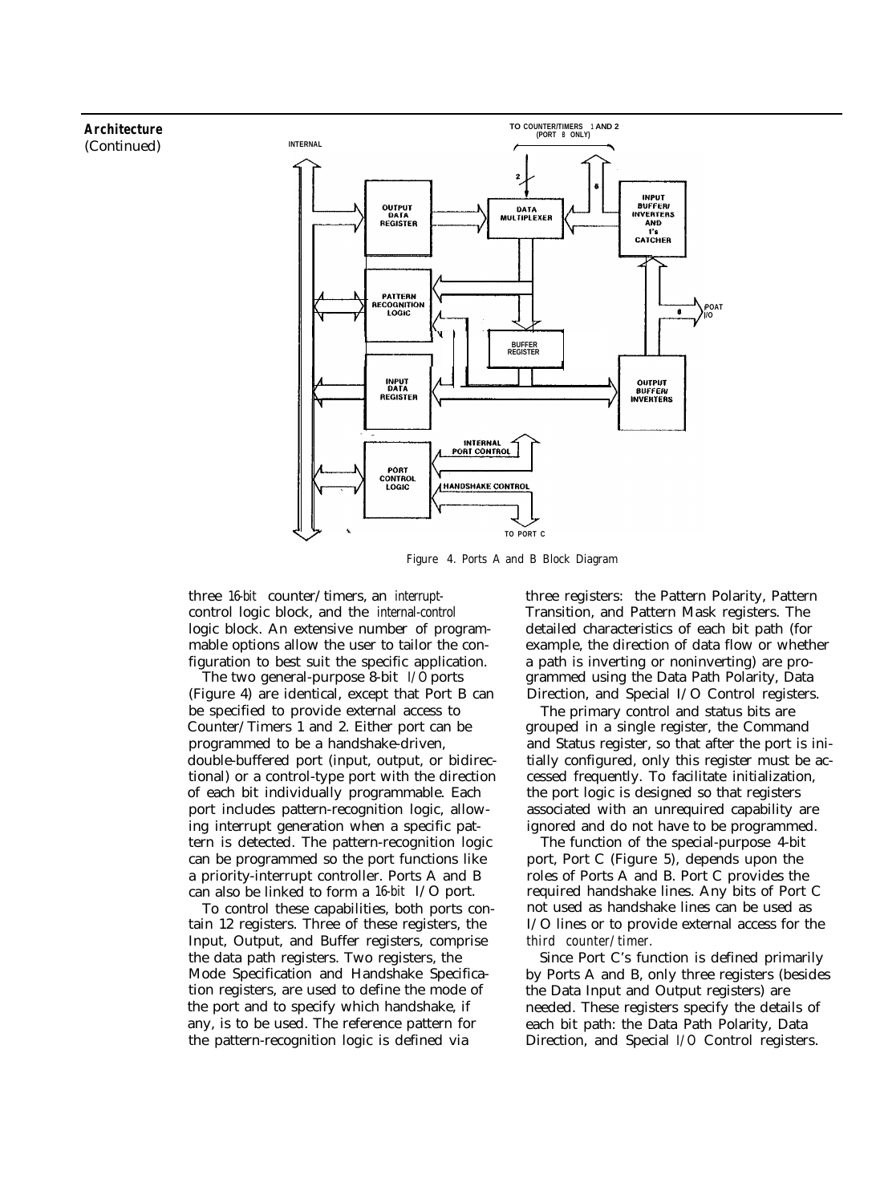#### **Architecture**

(Continued)



Figure 4. Ports A and B Block Diagram

three 16-bit counter/timers, an interruptcontrol logic block, and the internal-control logic block. An extensive number of programmable options allow the user to tailor the configuration to best suit the specific application.

The two general-purpose 8-bit I/O ports (Figure 4) are identical, except that Port B can be specified to provide external access to Counter/Timers 1 and 2. Either port can be programmed to be a handshake-driven, double-buffered port (input, output, or bidirectional) or a control-type port with the direction of each bit individually programmable. Each port includes pattern-recognition logic, allowing interrupt generation when a specific pattern is detected. The pattern-recognition logic can be programmed so the port functions like a priority-interrupt controller. Ports A and B can also be linked to form a 16-bit I/O port.

To control these capabilities, both ports contain 12 registers. Three of these registers, the Input, Output, and Buffer registers, comprise the data path registers. Two registers, the Mode Specification and Handshake Specification registers, are used to define the mode of the port and to specify which handshake, if any, is to be used. The reference pattern for the pattern-recognition logic is defined via

three registers: the Pattern Polarity, Pattern Transition, and Pattern Mask registers. The detailed characteristics of each bit path (for example, the direction of data flow or whether a path is inverting or noninverting) are programmed using the Data Path Polarity, Data Direction, and Special I/O Control registers.

The primary control and status bits are grouped in a single register, the Command and Status register, so that after the port is initially configured, only this register must be accessed frequently. To facilitate initialization, the port logic is designed so that registers associated with an unrequired capability are ignored and do not have to be programmed.

The function of the special-purpose 4-bit port, Port C (Figure 5), depends upon the roles of Ports A and B. Port C provides the required handshake lines. Any bits of Port C not used as handshake lines can be used as I/O lines or to provide external access for the third counter/timer.

Since Port C's function is defined primarily by Ports A and B, only three registers (besides the Data Input and Output registers) are needed. These registers specify the details of each bit path: the Data Path Polarity, Data Direction, and Special I/O Control registers.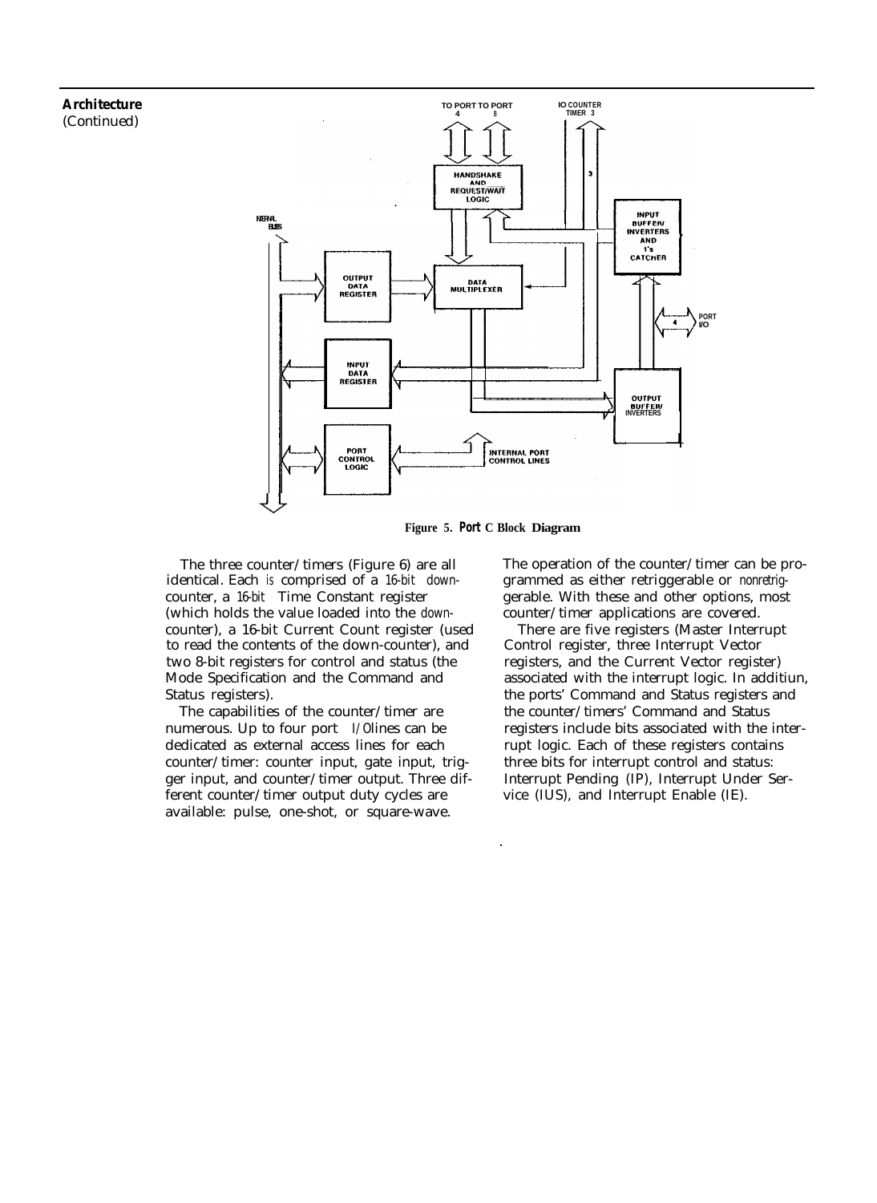## (Continued)



**Figure 5. Port C Block Diagram**

.

The three counter/timers (Figure 6) are all identical. Each is comprised of a 16-bit downcounter, a 16-bit Time Constant register (which holds the value loaded into the downcounter), a 16-bit Current Count register (used to read the contents of the down-counter), and two 8-bit registers for control and status (the Mode Specification and the Command and Status registers).

The capabilities of the counter/timer are numerous. Up to four port  $I/Olines$  can be dedicated as external access lines for each counter/timer: counter input, gate input, trigger input, and counter/timer output. Three different counter/timer output duty cycles are available: pulse, one-shot, or square-wave.

The operation of the counter/timer can be programmed as either retriggerable or nonretriggerable. With these and other options, most counter/timer applications are covered.

There are five registers (Master Interrupt Control register, three Interrupt Vector registers, and the Current Vector register) associated with the interrupt logic. In additiun, the ports' Command and Status registers and the counter/timers' Command and Status registers include bits associated with the interrupt logic. Each of these registers contains three bits for interrupt control and status: Interrupt Pending (IP), Interrupt Under Service (IUS), and Interrupt Enable (IE).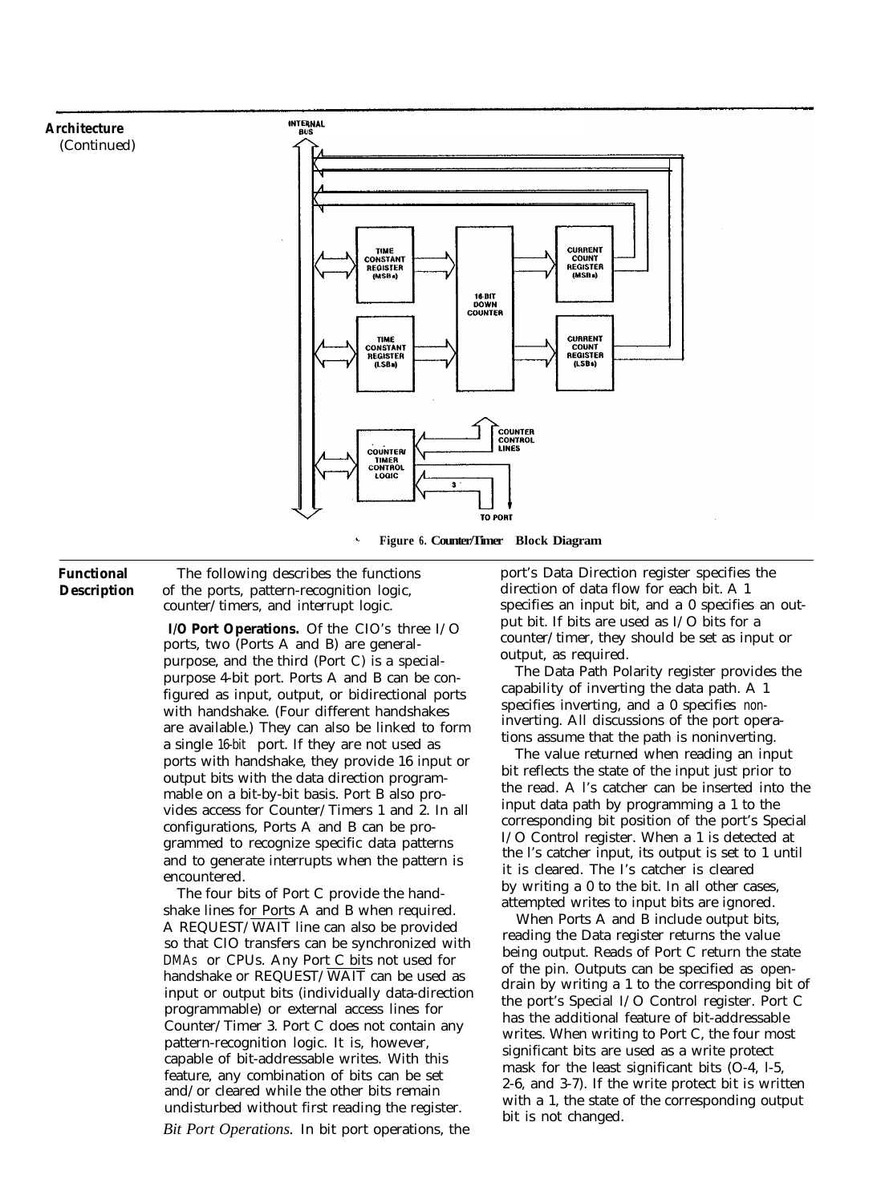

**Functional** The following describes the functions **Description** of the ports, pattern-recognition logic, counter/timers, and interrupt logic.

> **I/O Port Operations.** Of the CIO's three I/O ports, two (Ports A and B) are generalpurpose, and the third (Port C) is a specialpurpose 4-bit port. Ports A and B can be configured as input, output, or bidirectional ports with handshake. (Four different handshakes are available.) They can also be linked to form a single 16-bit port. If they are not used as ports with handshake, they provide 16 input or output bits with the data direction programmable on a bit-by-bit basis. Port B also provides access for Counter/Timers 1 and 2. In all configurations, Ports A and B can be programmed to recognize specific data patterns and to generate interrupts when the pattern is encountered.

> The four bits of Port C provide the handshake lines for Ports A and B when required. A REQUEST/WAIT line can also be provided so that CIO transfers can be synchronized with DMAs or CPUs. Any Port C bits not used for handshake or REQUEST/WAIT can be used as input or output bits (individually data-direction programmable) or external access lines for Counter/Timer 3. Port C does not contain any pattern-recognition logic. It is, however, capable of bit-addressable writes. With this feature, any combination of bits can be set and/or cleared while the other bits remain undisturbed without first reading the register. *Bit Port Operations.* In bit port operations, the

port's Data Direction register specifies the direction of data flow for each bit. A 1 specifies an input bit, and a 0 specifies an output bit. If bits are used as I/O bits for a counter/timer, they should be set as input or output, as required.

The Data Path Polarity register provides the capability of inverting the data path. A 1 specifies inverting, and a 0 specifies noninverting. All discussions of the port operations assume that the path is noninverting.

The value returned when reading an input bit reflects the state of the input just prior to the read. A l's catcher can be inserted into the input data path by programming a 1 to the corresponding bit position of the port's Special I/O Control register. When a 1 is detected at the l's catcher input, its output is set to 1 until it is cleared. The I's catcher is cleared by writing a 0 to the bit. In all other cases, attempted writes to input bits are ignored.

When Ports A and B include output bits, reading the Data register returns the value being output. Reads of Port C return the state of the pin. Outputs can be specified as opendrain by writing a 1 to the corresponding bit of the port's Special I/O Control register. Port C has the additional feature of bit-addressable writes. When writing to Port C, the four most significant bits are used as a write protect mask for the least significant bits (O-4, l-5, 2-6, and 3-7). If the write protect bit is written with a 1, the state of the corresponding output bit is not changed.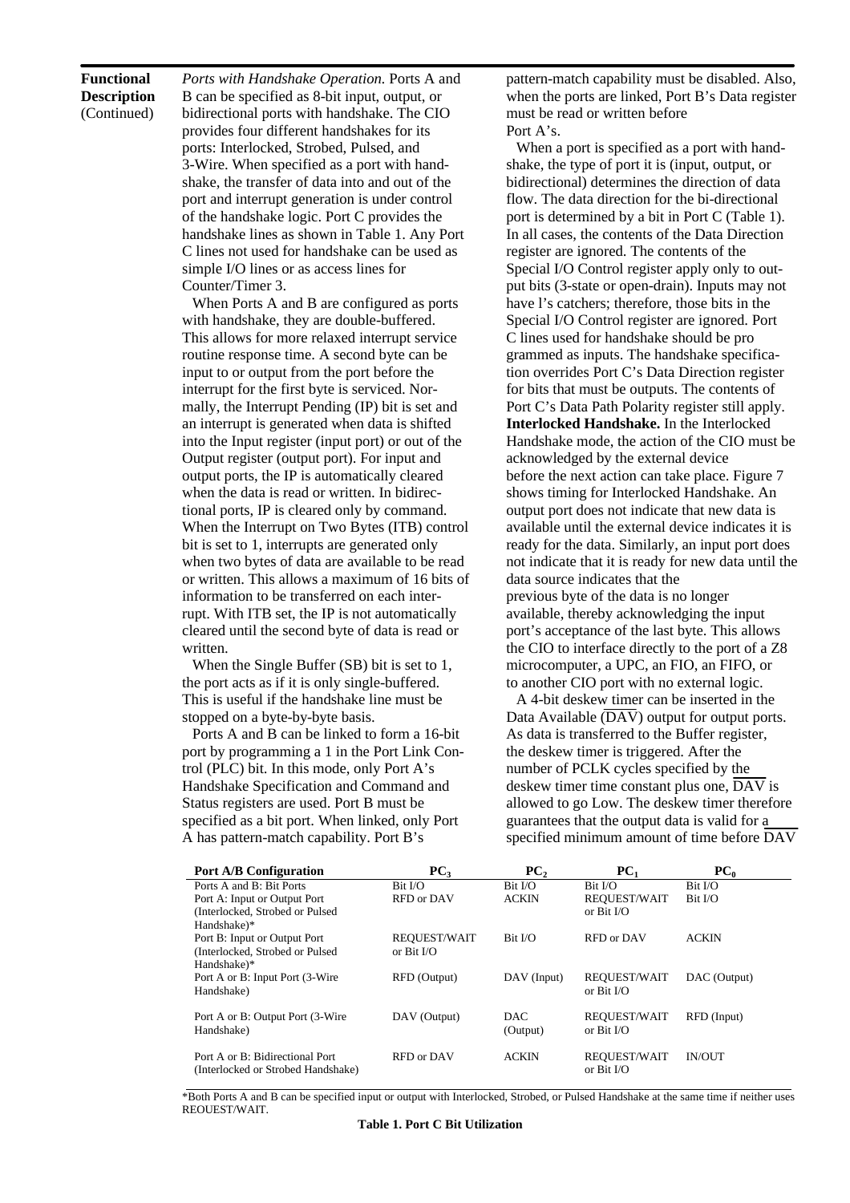#### **Functional Description**  (Continued)

*Ports with Handshake Operation.* Ports A and B can be specified as 8-bit input, output, or bidirectional ports with handshake. The CIO provides four different handshakes for its ports: Interlocked, Strobed, Pulsed, and 3-Wire. When specified as a port with handshake, the transfer of data into and out of the port and interrupt generation is under control of the handshake logic. Port C provides the handshake lines as shown in Table 1. Any Port C lines not used for handshake can be used as simple I/O lines or as access lines for Counter/Timer 3.

When Ports A and B are configured as ports with handshake, they are double-buffered. This allows for more relaxed interrupt service routine response time. A second byte can be input to or output from the port before the interrupt for the first byte is serviced. Normally, the Interrupt Pending (IP) bit is set and an interrupt is generated when data is shifted into the Input register (input port) or out of the Output register (output port). For input and output ports, the IP is automatically cleared when the data is read or written. In bidirectional ports, IP is cleared only by command. When the Interrupt on Two Bytes (ITB) control bit is set to 1, interrupts are generated only when two bytes of data are available to be read or written. This allows a maximum of 16 bits of information to be transferred on each interrupt. With ITB set, the IP is not automatically cleared until the second byte of data is read or written.

When the Single Buffer (SB) bit is set to 1, the port acts as if it is only single-buffered. This is useful if the handshake line must be stopped on a byte-by-byte basis.

Ports A and B can be linked to form a 16-bit port by programming a 1 in the Port Link Control (PLC) bit. In this mode, only Port A's Handshake Specification and Command and Status registers are used. Port B must be specified as a bit port. When linked, only Port A has pattern-match capability. Port B's

pattern-match capability must be disabled. Also, when the ports are linked, Port B's Data register must be read or written before Port A's.

When a port is specified as a port with handshake, the type of port it is (input, output, or bidirectional) determines the direction of data flow. The data direction for the bi-directional port is determined by a bit in Port C (Table 1). In all cases, the contents of the Data Direction register are ignored. The contents of the Special I/O Control register apply only to output bits (3-state or open-drain). Inputs may not have l's catchers; therefore, those bits in the Special I/O Control register are ignored. Port C lines used for handshake should be pro grammed as inputs. The handshake specification overrides Port C's Data Direction register for bits that must be outputs. The contents of Port C's Data Path Polarity register still apply. **Interlocked Handshake.** In the Interlocked Handshake mode, the action of the CIO must be acknowledged by the external device before the next action can take place. Figure 7 shows timing for Interlocked Handshake. An output port does not indicate that new data is available until the external device indicates it is ready for the data. Similarly, an input port does not indicate that it is ready for new data until the data source indicates that the previous byte of the data is no longer available, thereby acknowledging the input port's acceptance of the last byte. This allows the CIO to interface directly to the port of a Z8 microcomputer, a UPC, an FIO, an FIFO, or to another CIO port with no external logic.

A 4-bit deskew timer can be inserted in the Data Available  $\overline{(DAV)}$  output for output ports. As data is transferred to the Buffer register, the deskew timer is triggered. After the number of PCLK cycles specified by the deskew timer time constant plus one,  $\overline{DAV}$  is allowed to go Low. The deskew timer therefore guarantees that the output data is valid for a specified minimum amount of time before DAV

| <b>Port A/B Configuration</b>      | PC <sub>3</sub> | PC <sub>2</sub> | PC <sub>1</sub> | PC <sub>0</sub> |
|------------------------------------|-----------------|-----------------|-----------------|-----------------|
| Ports A and B: Bit Ports           | Bit I/O         | $Bit$ $IO$      | Bit I/O         | Bit I/O         |
| Port A: Input or Output Port       | RFD or DAV      | <b>ACKIN</b>    | REQUEST/WAIT    | Bit I/O         |
| (Interlocked, Strobed or Pulsed)   |                 |                 | or Bit $I/O$    |                 |
| Handshake)*                        |                 |                 |                 |                 |
| Port B: Input or Output Port       | REQUEST/WAIT    | Bit I/O         | RFD or DAV      | <b>ACKIN</b>    |
| (Interlocked, Strobed or Pulsed)   | or Bit $I/O$    |                 |                 |                 |
| Handshake)*                        |                 |                 |                 |                 |
| Port A or B: Input Port (3-Wire)   | RFD (Output)    | DAV (Input)     | REQUEST/WAIT    | DAC (Output)    |
| Handshake)                         |                 |                 | or Bit $IO$     |                 |
|                                    |                 |                 |                 |                 |
| Port A or B: Output Port (3-Wire)  | DAV (Output)    | DAC.            | REQUEST/WAIT    | RFD (Input)     |
| Handshake)                         |                 | (Output)        | or Bit $IO$     |                 |
|                                    |                 |                 |                 |                 |
| Port A or B: Bidirectional Port    | RFD or DAV      | <b>ACKIN</b>    | REQUEST/WAIT    | <b>IN/OUT</b>   |
| (Interlocked or Strobed Handshake) |                 |                 | or Bit $I/O$    |                 |

\*Both Ports A and B can be specified input or output with Interlocked, Strobed, or Pulsed Handshake at the same time if neither uses REOUEST/WAIT.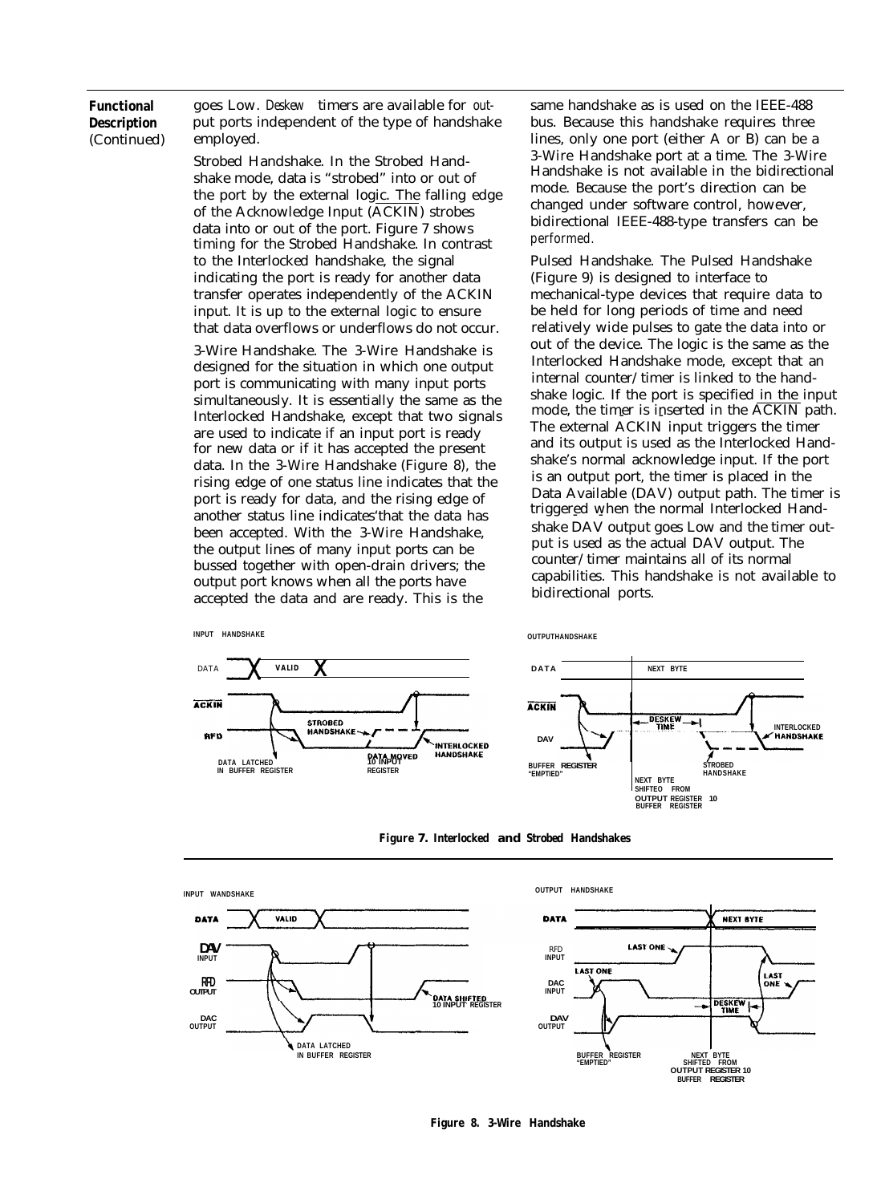| <b>Functional</b>  | goes Low. Deskew timers are available for out- | same                |
|--------------------|------------------------------------------------|---------------------|
| <b>Description</b> | put ports independent of the type of handshake | bus.                |
| (Continued)        | employed.                                      | lines.              |
|                    | Strobed Handshake. In the Strobed Hand-        | $3-Wi$<br>$II \sim$ |

shake mode, data is "strobed" into or out of the port by the external logic. The falling edge of the Acknowledge Input (ACKIN) strobes data into or out of the port. Figure 7 shows timing for the Strobed Handshake. In contrast to the Interlocked handshake, the signal indicating the port is ready for another data transfer operates independently of the ACKIN input. It is up to the external logic to ensure that data overflows or underflows do not occur.

3-Wire Handshake. The 3-Wire Handshake is designed for the situation in which one output port is communicating with many input ports simultaneously. It is essentially the same as the Interlocked Handshake, except that two signals are used to indicate if an input port is ready for new data or if it has accepted the present data. In the 3-Wire Handshake (Figure 8), the rising edge of one status line indicates that the port is ready for data, and the rising edge of another status line indicates'that the data has been accepted. With the 3-Wire Handshake, the output lines of many input ports can be bussed together with open-drain drivers; the output port knows when all the ports have accepted the data and are ready. This is the

handshake as is used on the IEEE-488 Because this handshake requires three only one port (either  $A$  or  $B$ ) can be a 3-Wire Handshake port at a time. The 3-Wire Handshake is not available in the bidirectional mode. Because the port's direction can be changed under software control, however, bidirectional IEEE-488-type transfers can be performed.

Pulsed Handshake. The Pulsed Handshake (Figure 9) is designed to interface to mechanical-type devices that require data to be held for long periods of time and need relatively wide pulses to gate the data into or out of the device. The logic is the same as the Interlocked Handshake mode, except that an internal counter/timer is linked to the handshake logic. If the port is specified in the input mode, the timer is inserted in the ACKIN path.<br>The external ACKIN input triggers the timer and its output is used as the Interlocked Handshake's normal acknowledge input. If the port is an output port, the timer is placed in the Data Available (DAV) output path. The timer is triggered when the normal Interlocked Hand-<br>shake DAV output goes Low and the timer output is used as the actual DAV output. The counter/timer maintains all of its normal capabilities. This handshake is not available to bidirectional ports.





**Figure 7. Interlocked and Strobed Handshakes**



**Figure 8. 3-Wire Handshake**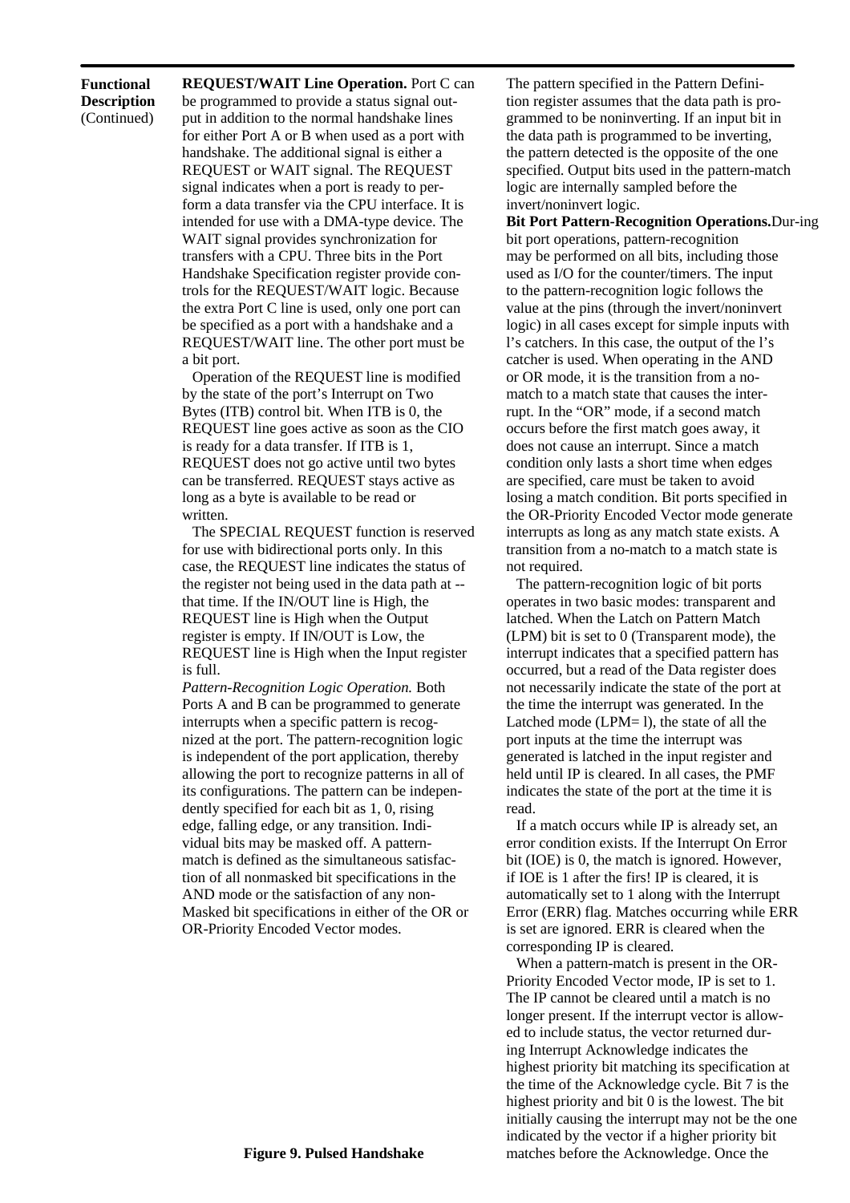#### **Functional Description** (Continued)

**REQUEST/WAIT Line Operation.** Port C can be programmed to provide a status signal output in addition to the normal handshake lines for either Port A or B when used as a port with handshake. The additional signal is either a REQUEST or WAIT signal. The REQUEST signal indicates when a port is ready to perform a data transfer via the CPU interface. It is intended for use with a DMA-type device. The WAIT signal provides synchronization for transfers with a CPU. Three bits in the Port Handshake Specification register provide controls for the REQUEST/WAIT logic. Because the extra Port C line is used, only one port can be specified as a port with a handshake and a REQUEST/WAIT line. The other port must be a bit port.

Operation of the REQUEST line is modified by the state of the port's Interrupt on Two Bytes (ITB) control bit. When ITB is 0, the REQUEST line goes active as soon as the CIO is ready for a data transfer. If ITB is 1, REQUEST does not go active until two bytes can be transferred. REQUEST stays active as long as a byte is available to be read or written.

The SPECIAL REQUEST function is reserved for use with bidirectional ports only. In this case, the REQUEST line indicates the status of the register not being used in the data path at - that time. If the IN/OUT line is High, the REQUEST line is High when the Output register is empty. If IN/OUT is Low, the REQUEST line is High when the Input register is full.

*Pattern-Recognition Logic Operation.* Both Ports A and B can be programmed to generate interrupts when a specific pattern is recognized at the port. The pattern-recognition logic is independent of the port application, thereby allowing the port to recognize patterns in all of its configurations. The pattern can be independently specified for each bit as 1, 0, rising edge, falling edge, or any transition. Individual bits may be masked off. A patternmatch is defined as the simultaneous satisfaction of all nonmasked bit specifications in the AND mode or the satisfaction of any non-Masked bit specifications in either of the OR or OR-Priority Encoded Vector modes.

The pattern specified in the Pattern Definition register assumes that the data path is programmed to be noninverting. If an input bit in the data path is programmed to be inverting, the pattern detected is the opposite of the one specified. Output bits used in the pattern-match logic are internally sampled before the invert/noninvert logic.

**Bit Port Pattern-Recognition Operations.**Dur-ing bit port operations, pattern-recognition may be performed on all bits, including those used as I/O for the counter/timers. The input to the pattern-recognition logic follows the value at the pins (through the invert/noninvert logic) in all cases except for simple inputs with l's catchers. In this case, the output of the l's catcher is used. When operating in the AND or OR mode, it is the transition from a nomatch to a match state that causes the interrupt. In the "OR" mode, if a second match occurs before the first match goes away, it does not cause an interrupt. Since a match condition only lasts a short time when edges are specified, care must be taken to avoid losing a match condition. Bit ports specified in the OR-Priority Encoded Vector mode generate interrupts as long as any match state exists. A transition from a no-match to a match state is not required.

The pattern-recognition logic of bit ports operates in two basic modes: transparent and latched. When the Latch on Pattern Match (LPM) bit is set to 0 (Transparent mode), the interrupt indicates that a specified pattern has occurred, but a read of the Data register does not necessarily indicate the state of the port at the time the interrupt was generated. In the Latched mode (LPM= l), the state of all the port inputs at the time the interrupt was generated is latched in the input register and held until IP is cleared. In all cases, the PMF indicates the state of the port at the time it is read.

If a match occurs while IP is already set, an error condition exists. If the Interrupt On Error bit (IOE) is 0, the match is ignored. However, if IOE is 1 after the firs! IP is cleared, it is automatically set to 1 along with the Interrupt Error (ERR) flag. Matches occurring while ERR is set are ignored. ERR is cleared when the corresponding IP is cleared.

When a pattern-match is present in the OR-Priority Encoded Vector mode, IP is set to 1. The IP cannot be cleared until a match is no longer present. If the interrupt vector is allowed to include status, the vector returned during Interrupt Acknowledge indicates the highest priority bit matching its specification at the time of the Acknowledge cycle. Bit 7 is the highest priority and bit 0 is the lowest. The bit initially causing the interrupt may not be the one indicated by the vector if a higher priority bit matches before the Acknowledge. Once the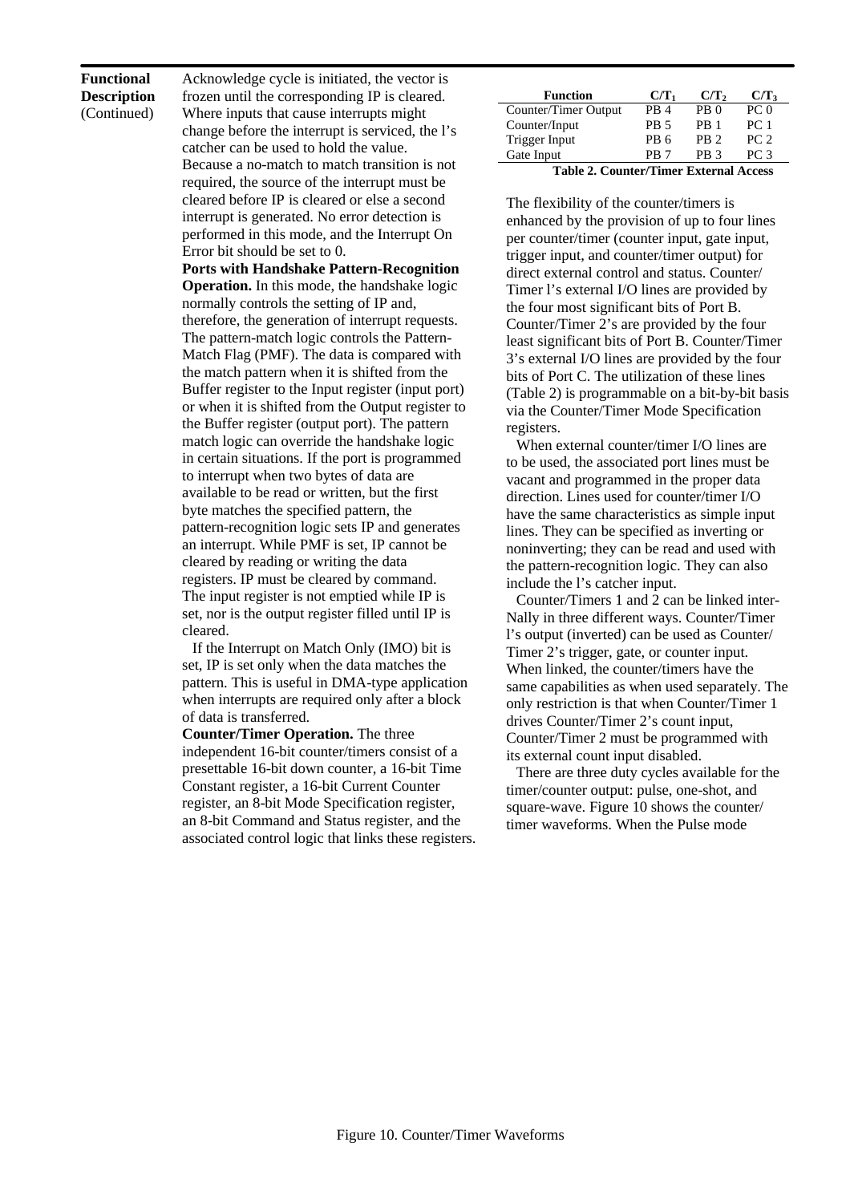#### **Functional Description** (Continued)

Acknowledge cycle is initiated, the vector is frozen until the corresponding IP is cleared. Where inputs that cause interrupts might change before the interrupt is serviced, the l's catcher can be used to hold the value. Because a no-match to match transition is not required, the source of the interrupt must be cleared before IP is cleared or else a second interrupt is generated. No error detection is performed in this mode, and the Interrupt On Error bit should be set to 0.

**Ports with Handshake Pattern-Recognition Operation.** In this mode, the handshake logic normally controls the setting of IP and, therefore, the generation of interrupt requests. The pattern-match logic controls the Pattern-Match Flag (PMF). The data is compared with the match pattern when it is shifted from the Buffer register to the Input register (input port) or when it is shifted from the Output register to the Buffer register (output port). The pattern match logic can override the handshake logic in certain situations. If the port is programmed to interrupt when two bytes of data are available to be read or written, but the first byte matches the specified pattern, the pattern-recognition logic sets IP and generates an interrupt. While PMF is set, IP cannot be cleared by reading or writing the data registers. IP must be cleared by command. The input register is not emptied while IP is set, nor is the output register filled until IP is cleared.

If the Interrupt on Match Only (IMO) bit is set, IP is set only when the data matches the pattern. This is useful in DMA-type application when interrupts are required only after a block of data is transferred.

**Counter/Timer Operation.** The three independent 16-bit counter/timers consist of a presettable 16-bit down counter, a 16-bit Time Constant register, a 16-bit Current Counter register, an 8-bit Mode Specification register, an 8-bit Command and Status register, and the associated control logic that links these registers.

| Function             | $C/T_1$ | C/T <sub>2</sub> | $C/T_3$         |
|----------------------|---------|------------------|-----------------|
| Counter/Timer Output | PR 4    | P <sub>B</sub> 0 | PC <sub>0</sub> |
| Counter/Input        | PB 5    | PR 1             | <b>PC</b> 1     |
| Trigger Input        | PB 6    | PR 2             | PC.2            |
| Gate Input           | PR 7    | PR 3             | PC <sub>3</sub> |

**Table 2. Counter/Timer External Access**

The flexibility of the counter/timers is enhanced by the provision of up to four lines per counter/timer (counter input, gate input, trigger input, and counter/timer output) for direct external control and status. Counter/ Timer l's external I/O lines are provided by the four most significant bits of Port B. Counter/Timer 2's are provided by the four least significant bits of Port B. Counter/Timer 3's external I/O lines are provided by the four bits of Port C. The utilization of these lines (Table 2) is programmable on a bit-by-bit basis via the Counter/Timer Mode Specification registers.

When external counter/timer I/O lines are to be used, the associated port lines must be vacant and programmed in the proper data direction. Lines used for counter/timer I/O have the same characteristics as simple input lines. They can be specified as inverting or noninverting; they can be read and used with the pattern-recognition logic. They can also include the l's catcher input.

Counter/Timers 1 and 2 can be linked inter-Nally in three different ways. Counter/Timer l's output (inverted) can be used as Counter/ Timer 2's trigger, gate, or counter input. When linked, the counter/timers have the same capabilities as when used separately. The only restriction is that when Counter/Timer 1 drives Counter/Timer 2's count input, Counter/Timer 2 must be programmed with its external count input disabled.

There are three duty cycles available for the timer/counter output: pulse, one-shot, and square-wave. Figure 10 shows the counter/ timer waveforms. When the Pulse mode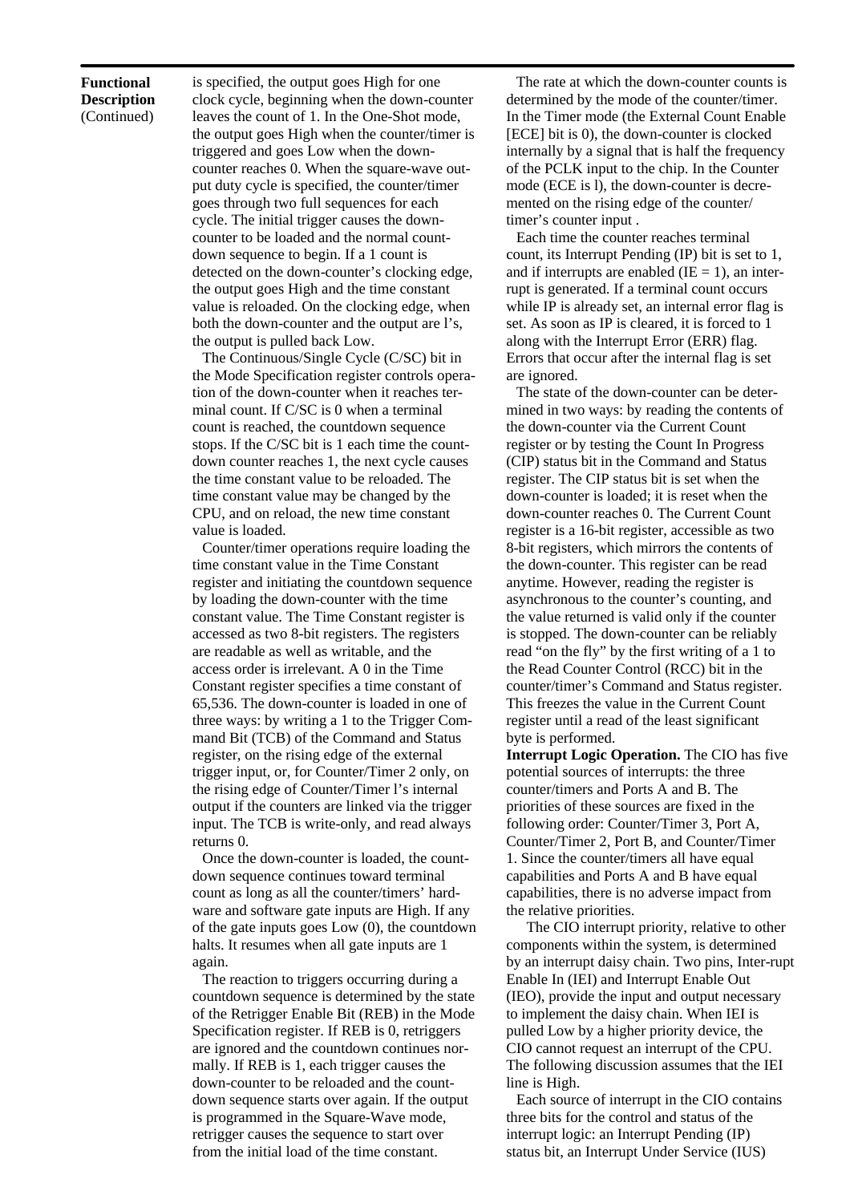#### **Functional Description**  (Continued)

is specified, the output goes High for one clock cycle, beginning when the down-counter leaves the count of 1. In the One-Shot mode, the output goes High when the counter/timer is triggered and goes Low when the downcounter reaches 0. When the square-wave output duty cycle is specified, the counter/timer goes through two full sequences for each cycle. The initial trigger causes the downcounter to be loaded and the normal countdown sequence to begin. If a 1 count is detected on the down-counter's clocking edge, the output goes High and the time constant value is reloaded. On the clocking edge, when both the down-counter and the output are l's, the output is pulled back Low.

The Continuous/Single Cycle (C/SC) bit in the Mode Specification register controls operation of the down-counter when it reaches terminal count. If C/SC is 0 when a terminal count is reached, the countdown sequence stops. If the C/SC bit is 1 each time the countdown counter reaches 1, the next cycle causes the time constant value to be reloaded. The time constant value may be changed by the CPU, and on reload, the new time constant value is loaded.

Counter/timer operations require loading the time constant value in the Time Constant register and initiating the countdown sequence by loading the down-counter with the time constant value. The Time Constant register is accessed as two 8-bit registers. The registers are readable as well as writable, and the access order is irrelevant. A 0 in the Time Constant register specifies a time constant of 65,536. The down-counter is loaded in one of three ways: by writing a 1 to the Trigger Command Bit (TCB) of the Command and Status register, on the rising edge of the external trigger input, or, for Counter/Timer 2 only, on the rising edge of Counter/Timer l's internal output if the counters are linked via the trigger input. The TCB is write-only, and read always returns 0.

Once the down-counter is loaded, the countdown sequence continues toward terminal count as long as all the counter/timers' hardware and software gate inputs are High. If any of the gate inputs goes Low (0), the countdown halts. It resumes when all gate inputs are 1 again.

The reaction to triggers occurring during a countdown sequence is determined by the state of the Retrigger Enable Bit (REB) in the Mode Specification register. If REB is 0, retriggers are ignored and the countdown continues normally. If REB is 1, each trigger causes the down-counter to be reloaded and the countdown sequence starts over again. If the output is programmed in the Square-Wave mode, retrigger causes the sequence to start over from the initial load of the time constant.

The rate at which the down-counter counts is determined by the mode of the counter/timer. In the Timer mode (the External Count Enable [ECE] bit is 0), the down-counter is clocked internally by a signal that is half the frequency of the PCLK input to the chip. In the Counter mode (ECE is l), the down-counter is decremented on the rising edge of the counter/ timer's counter input .

Each time the counter reaches terminal count, its Interrupt Pending (IP) bit is set to 1, and if interrupts are enabled ( $IE = 1$ ), an interrupt is generated. If a terminal count occurs while IP is already set, an internal error flag is set. As soon as IP is cleared, it is forced to 1 along with the Interrupt Error (ERR) flag. Errors that occur after the internal flag is set are ignored.

The state of the down-counter can be determined in two ways: by reading the contents of the down-counter via the Current Count register or by testing the Count In Progress (CIP) status bit in the Command and Status register. The CIP status bit is set when the down-counter is loaded; it is reset when the down-counter reaches 0. The Current Count register is a 16-bit register, accessible as two 8-bit registers, which mirrors the contents of the down-counter. This register can be read anytime. However, reading the register is asynchronous to the counter's counting, and the value returned is valid only if the counter is stopped. The down-counter can be reliably read "on the fly" by the first writing of a 1 to the Read Counter Control (RCC) bit in the counter/timer's Command and Status register. This freezes the value in the Current Count register until a read of the least significant byte is performed.

**Interrupt Logic Operation.** The CIO has five potential sources of interrupts: the three counter/timers and Ports A and B. The priorities of these sources are fixed in the following order: Counter/Timer 3, Port A, Counter/Timer 2, Port B, and Counter/Timer 1. Since the counter/timers all have equal capabilities and Ports A and B have equal capabilities, there is no adverse impact from the relative priorities.

The CIO interrupt priority, relative to other components within the system, is determined by an interrupt daisy chain. Two pins, Inter-rupt Enable In (IEI) and Interrupt Enable Out (IEO), provide the input and output necessary to implement the daisy chain. When IEI is pulled Low by a higher priority device, the CIO cannot request an interrupt of the CPU. The following discussion assumes that the IEI line is High.

Each source of interrupt in the CIO contains three bits for the control and status of the interrupt logic: an Interrupt Pending (IP) status bit, an Interrupt Under Service (IUS)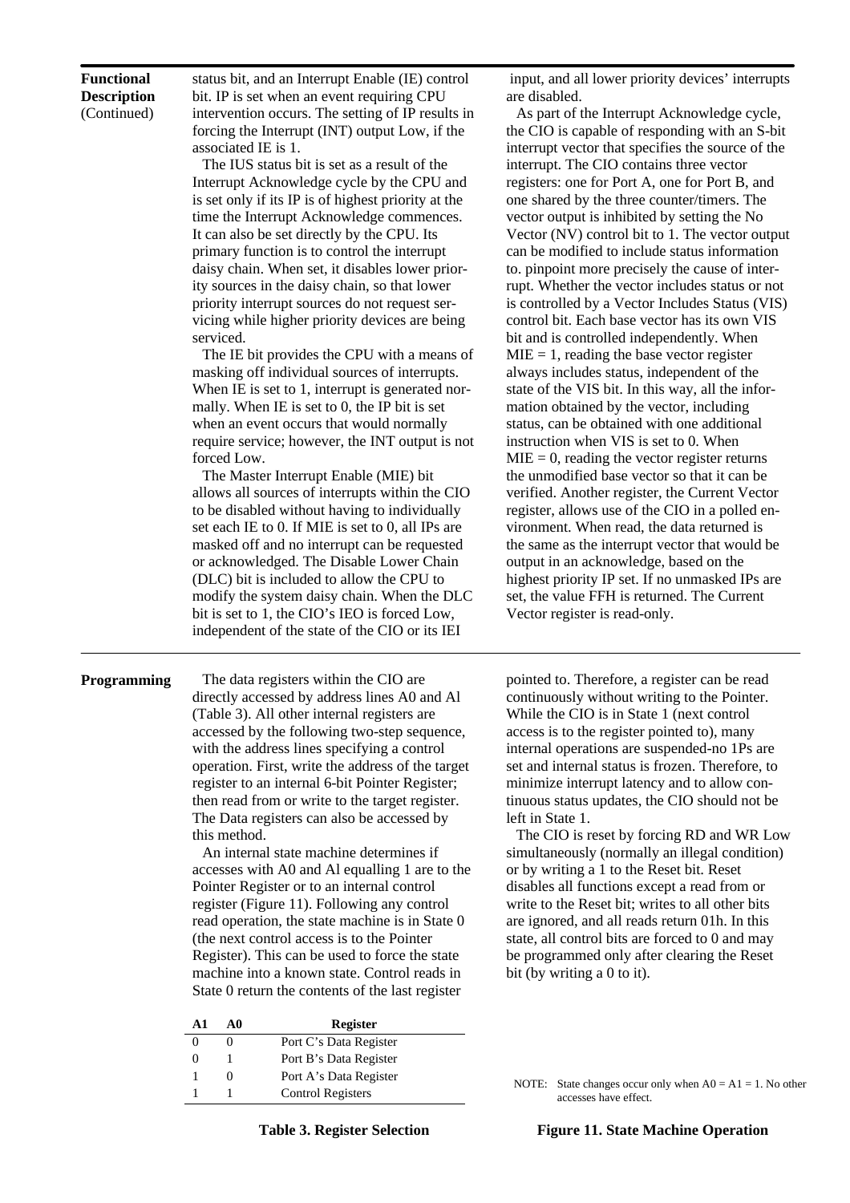#### **Functional Description**  (Continued)

status bit, and an Interrupt Enable (IE) control bit. IP is set when an event requiring CPU intervention occurs. The setting of IP results in forcing the Interrupt (INT) output Low, if the associated IE is 1.

The IUS status bit is set as a result of the Interrupt Acknowledge cycle by the CPU and is set only if its IP is of highest priority at the time the Interrupt Acknowledge commences. It can also be set directly by the CPU. Its primary function is to control the interrupt daisy chain. When set, it disables lower priority sources in the daisy chain, so that lower priority interrupt sources do not request servicing while higher priority devices are being serviced.

The IE bit provides the CPU with a means of masking off individual sources of interrupts. When IE is set to 1, interrupt is generated normally. When IE is set to 0, the IP bit is set when an event occurs that would normally require service; however, the INT output is not forced Low.

The Master Interrupt Enable (MIE) bit allows all sources of interrupts within the CIO to be disabled without having to individually set each IE to 0. If MIE is set to 0, all IPs are masked off and no interrupt can be requested or acknowledged. The Disable Lower Chain (DLC) bit is included to allow the CPU to modify the system daisy chain. When the DLC bit is set to 1, the CIO's IEO is forced Low, independent of the state of the CIO or its IEI

**Programming** The data registers within the CIO are directly accessed by address lines A0 and Al (Table 3). All other internal registers are accessed by the following two-step sequence, with the address lines specifying a control operation. First, write the address of the target register to an internal 6-bit Pointer Register; then read from or write to the target register. The Data registers can also be accessed by this method.

> An internal state machine determines if accesses with A0 and Al equalling 1 are to the Pointer Register or to an internal control register (Figure 11). Following any control read operation, the state machine is in State 0 (the next control access is to the Pointer Register). This can be used to force the state machine into a known state. Control reads in State 0 return the contents of the last register

| А 1 | A0 | <b>Register</b>          |
|-----|----|--------------------------|
|     |    | Port C's Data Register   |
| 0   |    | Port B's Data Register   |
|     |    | Port A's Data Register   |
|     |    | <b>Control Registers</b> |

 input, and all lower priority devices' interrupts are disabled.

As part of the Interrupt Acknowledge cycle, the CIO is capable of responding with an S-bit interrupt vector that specifies the source of the interrupt. The CIO contains three vector registers: one for Port A, one for Port B, and one shared by the three counter/timers. The vector output is inhibited by setting the No Vector (NV) control bit to 1. The vector output can be modified to include status information to. pinpoint more precisely the cause of interrupt. Whether the vector includes status or not is controlled by a Vector Includes Status (VIS) control bit. Each base vector has its own VIS bit and is controlled independently. When  $MIE = 1$ , reading the base vector register always includes status, independent of the state of the VIS bit. In this way, all the information obtained by the vector, including status, can be obtained with one additional instruction when VIS is set to 0. When  $MIE = 0$ , reading the vector register returns the unmodified base vector so that it can be verified. Another register, the Current Vector register, allows use of the CIO in a polled environment. When read, the data returned is the same as the interrupt vector that would be output in an acknowledge, based on the highest priority IP set. If no unmasked IPs are set, the value FFH is returned. The Current Vector register is read-only.

pointed to. Therefore, a register can be read continuously without writing to the Pointer. While the CIO is in State 1 (next control access is to the register pointed to), many internal operations are suspended-no 1Ps are set and internal status is frozen. Therefore, to minimize interrupt latency and to allow continuous status updates, the CIO should not be left in State 1.

The CIO is reset by forcing RD and WR Low simultaneously (normally an illegal condition) or by writing a 1 to the Reset bit. Reset disables all functions except a read from or write to the Reset bit; writes to all other bits are ignored, and all reads return 01h. In this state, all control bits are forced to 0 and may be programmed only after clearing the Reset bit (by writing a 0 to it).

NOTE: State changes occur only when  $AO = A1 = 1$ . No other accesses have effect.

**Table 3. Register Selection**

**Figure 11. State Machine Operation**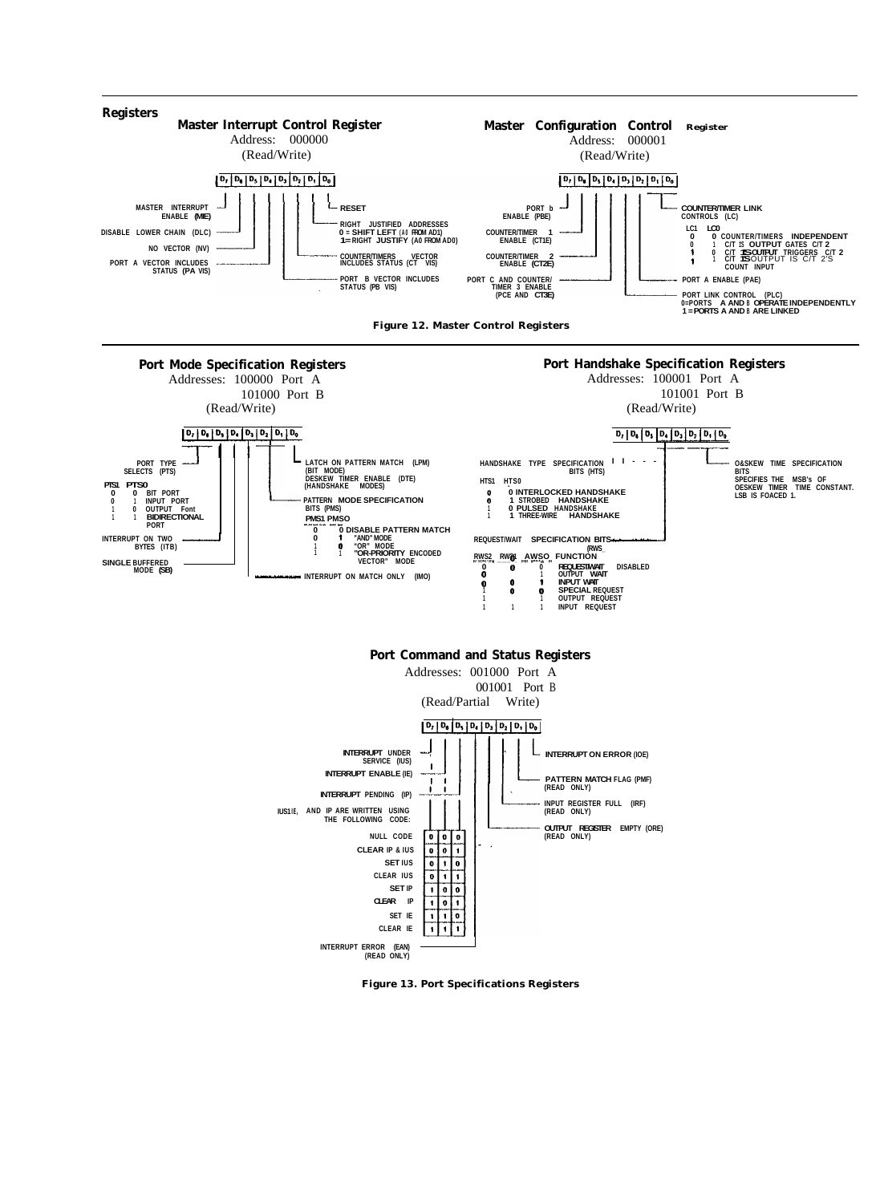

**Figure 13. Port Specifications Registers**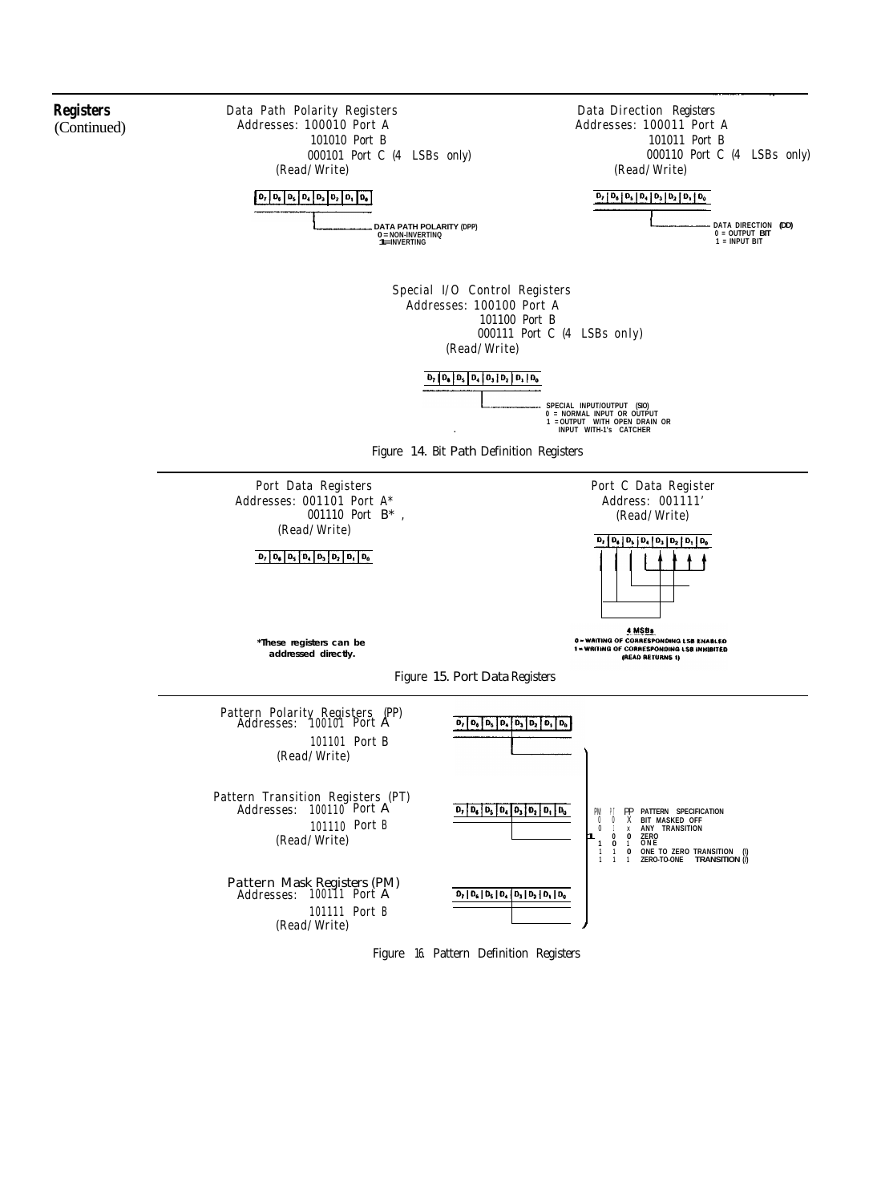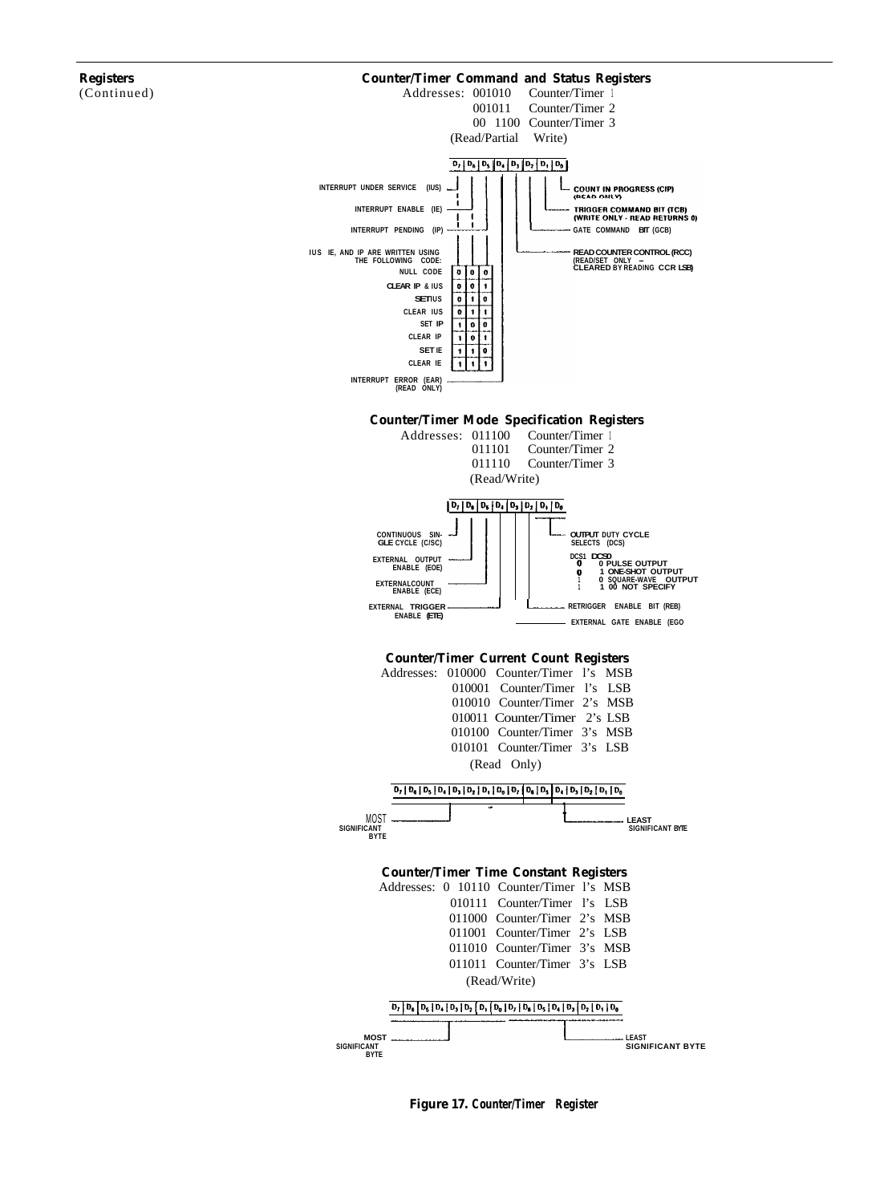

**Figure 17. Counter/Timer Register**